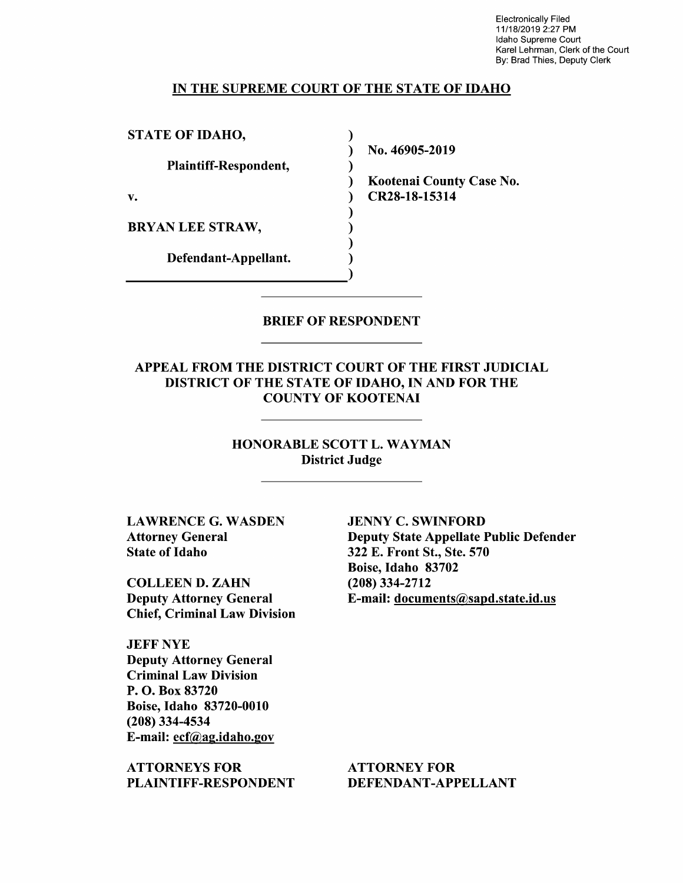Electronically Filed 11/18/2019 2:27 PM Idaho Supreme Court Karel Lehrman, Clerk of the Court By: Brad Thies, Deputy Clerk

#### IN THE SUPREME COURT OF THE STATE OF IDAHO

 $\lambda$ 

STATE OF IDAHO,

Plaintiff—Respondent,

BRYAN LEE STRAW,

Defendant—Appellant.

N0. 46905-2019

Kootenai County Case No. v. **CR28-18-15314** 

BRIEF OF RESPONDENT

APPEAL FROM THE DISTRICT COURT OF THE FIRST JUDICIAL DISTRICT OF THE STATE OF IDAHO, IN AND FOR THE COUNTY OF KOOTENAI

> HONORABLE SCOTT L. WAYMAN District Judge

LAWRENCE G. WASDEN Attorney General State 0f Idaho

COLLEEN D. ZAHN Deputy Attorney General Chief, Criminal Law Division

JEFF NYE Deputy Attorney General Criminal Law Division P. O. Box 83720 Boise, Idaho 83720-0010 (208) 334-4534 E-mail: ecf@ag.idah0.gov

ATTORNEYS FOR PLAINTIFF—RESPONDENT

JENNY C. SWINFORD Deputy State Appellate Public Defender 322 E. Front St., Ste. 570 Boise, Idaho 83702 (208) 334-2712 E-mail: documents@sapd.state.id.us

ATTORNEY FOR DEFENDANT-APPELLANT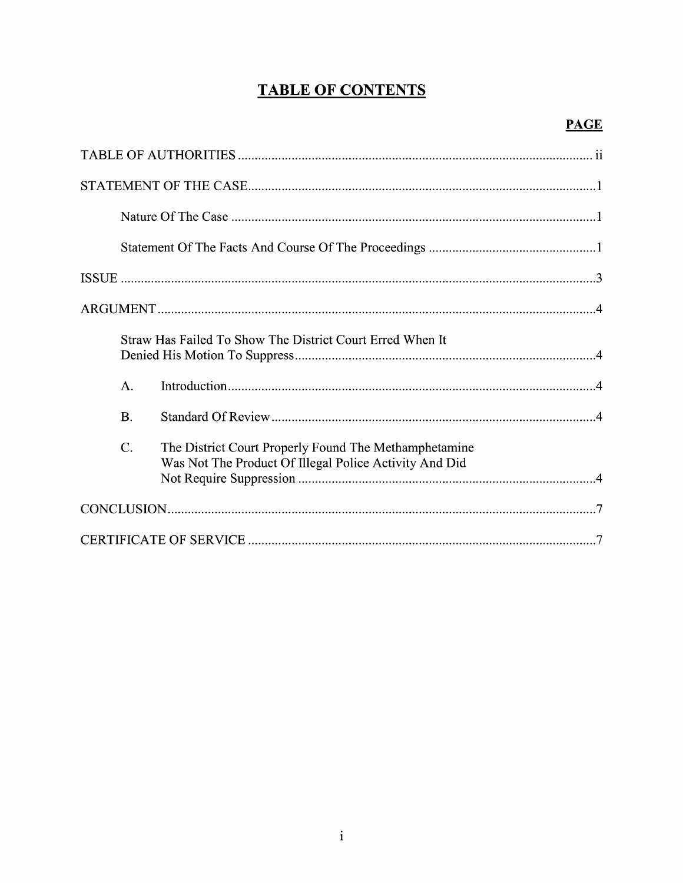# **TABLE OF CONTENTS**

|                | Straw Has Failed To Show The District Court Erred When It                                                       |
|----------------|-----------------------------------------------------------------------------------------------------------------|
| $\mathbf{A}$ . |                                                                                                                 |
| <b>B.</b>      |                                                                                                                 |
| C.             | The District Court Properly Found The Methamphetamine<br>Was Not The Product Of Illegal Police Activity And Did |
|                |                                                                                                                 |
|                |                                                                                                                 |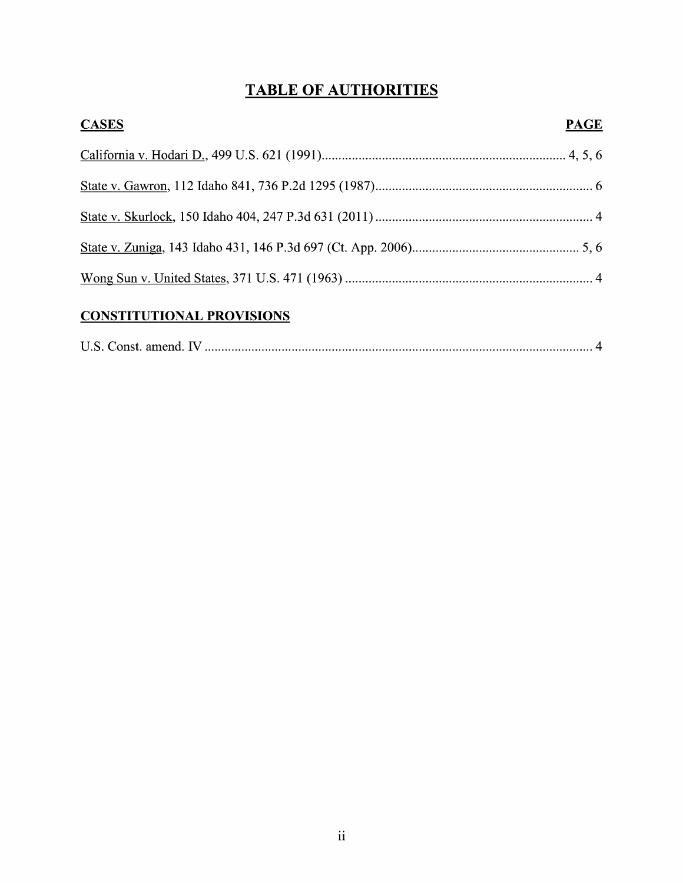# TABLE OF AUTHORITIES

| <b>CASES</b> | <b>PAGE</b> |
|--------------|-------------|
|              |             |
|              |             |
|              |             |
|              |             |
|              |             |

## CONSTITUTIONAL PROVISIONS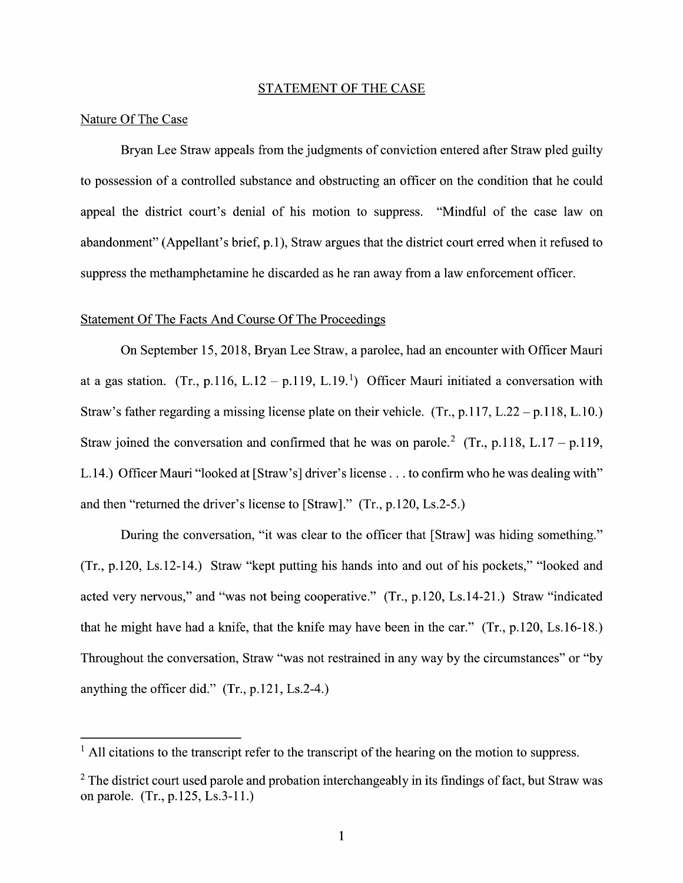#### STATEMENT OF THE CASE

#### Nature Of The Case

Bryan Lee Straw appeals from the judgments of conviction entered after Straw pled guilty to possession of a controlled substance and obstructing an officer on the condition that he could appeal the district court's denial of his motion to suppress. "Mindful of the case law on abandonment" (Appellant's brief, p.1), Straw argues that the district court erred when it refused to suppress the methamphetamine he discarded as he ran away from a law enforcement officer.

#### Statement Of The Facts And Course Of The Proceedings

On September 15, 2018, Bryan Lee Straw, a parolee, had an encounter with Officer Mauri at a gas station. (Tr., p.116, L.12 – p.119, L.19.<sup>1</sup>) Officer Mauri initiated a conversation with Straw's father regarding a missing license plate on their vehicle. (Tr.,  $p.117$ , L.22 –  $p.118$ , L.10.) Straw joined the conversation and confirmed that he was on parole.<sup>2</sup> (Tr., p.118, L.17 – p.119, L. 14.) Officer Mauri "looked at [Straw's] driver's license . . . to confirm who he was dealing with" and then "returned the driver's license to [Straw]."  $(Tr, p.120, Ls.2-5.)$ 

During the conversation, "it was clear to the officer that [Straw] was hiding something."  $(Tr, p.120, Ls.12-14.)$  Straw "kept putting his hands into and out of his pockets," "looked and acted very nervous," and "was not being cooperative." (Tr., p.120, Ls.14-21.) Straw "indicated<br>that he might have had a knife, that the knife may have been in the car." (Tr., p.120, Ls.16-18.) Throughout the conversation, Straw "was not restrained in any way by the circumstances" or "by anything the officer did." (Tr., p.121, Ls.2-4.)

 $<sup>1</sup>$  All citations to the transcript refer to the transcript of the hearing on the motion to suppress.</sup>

 $2$  The district court used parole and probation interchangeably in its findings of fact, but Straw was on parole.  $(Tr., p. 125, Ls.3-11.)$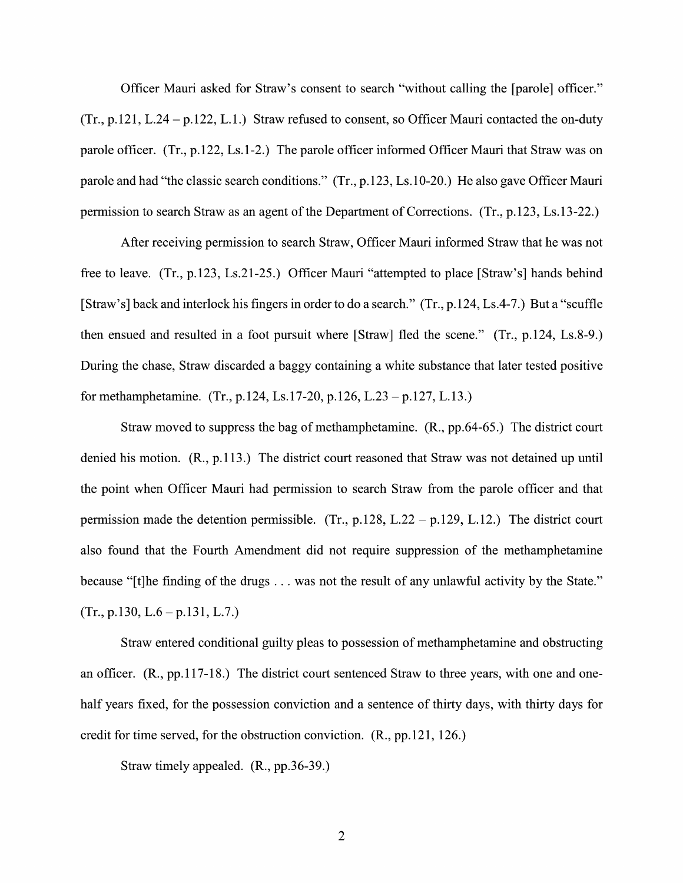Officer Mauri asked for Straw's consent to search "without calling the [parole] officer."  $(Tr, p.121, L.24 - p.122, L.1.)$  Straw refused to consent, so Officer Mauri contacted the on-duty parole officer.  $(Tr, p.122, Ls.1-2)$  The parole officer informed Officer Mauri that Straw was on parole and had "the classic search conditions." (Tr., p.123, Ls.10-20.) He also gave Officer Mauri permission to search Straw as an agent of the Department of Corrections. (Tr., p.123, Ls.13-22.)

After receiving permission to search Straw, Officer Mauri informed Straw that he was not free to leave. (Tr., p.123, Ls.21-25.) Officer Mauri "attempted to place [Straw's] hands behind [Straw's] back and interlock his fingers in order to do a search."  $(Tr., p.124, Ls.4-7.)$  But a "scuffle then ensued and resulted in a foot pursuit where  $[Straw]$  fled the scene."  $(Tr, p.124, Ls.8-9.)$ During the chase, Straw discarded a baggy containing a white substance that later tested positive for methamphetamine. (Tr., p.124, Ls.17-20, p.126, L.23 – p.127, L.13.)

Straw moved to suppress the bag of methamphetamine. (R., pp.64-65.) The district court denied his motion. (R., p.113.) The district court reasoned that Straw was not detained up until the point When Officer Mauri had permission to search Straw from the parole officer and that permission made the detention permissible. (Tr., p.128, L.22 – p.129, L.12.) The district court also found that the Fourth Amendment did not require suppression of the methamphetamine because "[t]he finding of the drugs  $\dots$  was not the result of any unlawful activity by the State."  $(Tr., p.130, L.6 - p.131, L.7.)$ 

Straw entered conditional guilty pleas to possession of methamphetamine and obstructing an officer. (R., pp.1 17-18.) The district court sentenced Straw to three years, with one and onehalf years fixed, for the possession conviction and a sentence of thirty days, with thirty days for credit for time served, for the obstruction conviction. (R., pp.121, 126.)

Straw timely appealed. (R., pp.36-39.)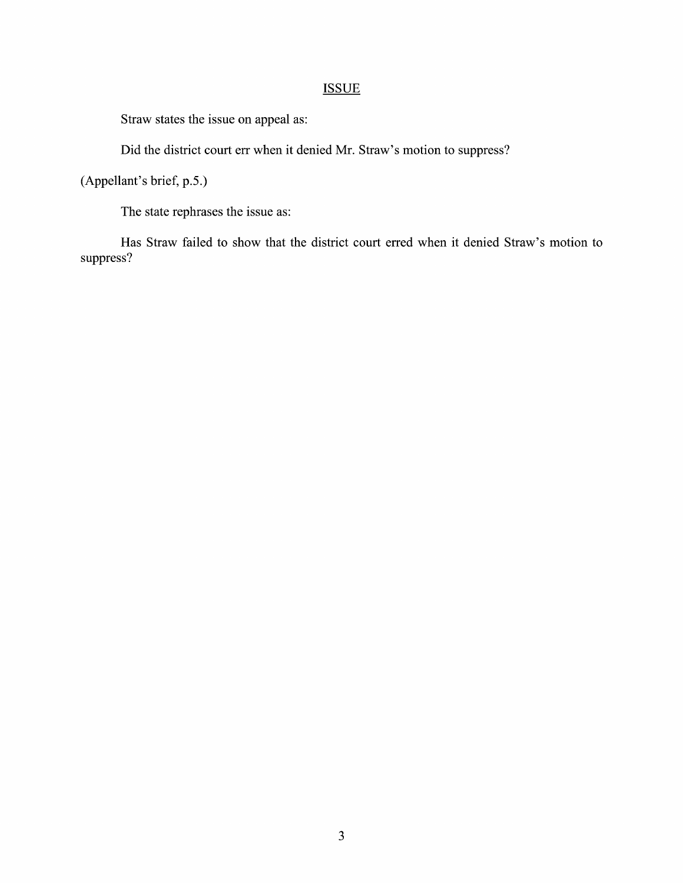### **ISSUE**

Straw states the issue on appeal as:

Did the district court err when it denied Mr. Straw's motion to suppress?

(Appellant's brief, p.5.)

The state rephrases the issue as:

Has Straw failed t0 show that the district court erred When it denied Straw's motion to suppress?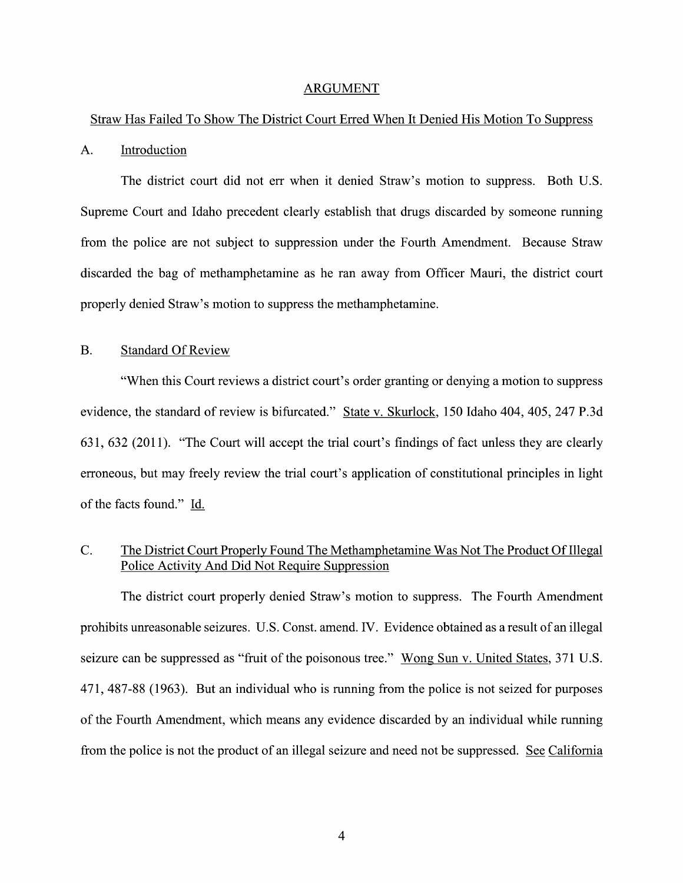#### ARGUMENT

#### Straw Has Failed T0 Show The District Court Erred When It Denied His Motion T0 Suppress

#### A. Introduction

The district court did not err when it denied Straw's motion to suppress. Both U.S. Supreme Court and Idaho precedent clearly establish that drugs discarded by someone running from the police are not subject to suppression under the Fourth Amendment. Because Straw discarded the bag 0f methamphetamine as he ran away from Officer Mauri, the district court properly denied Straw's motion to suppress the methamphetamine.

#### B. Standard Of Review

"When this Court reviews a district court's order granting or denying a motion to suppress evidence, the standard of review is bifurcated." State v. Skurlock, 150 Idaho 404, 405, 247 P.3d 631, 632 (2011). "The Court will accept the trial court's findings of fact unless they are clearly erroneous, but may freely review the trial court's application of constitutional principles in light of the facts found." Id.

#### C. The District Court Properly Found The Methamphetamine Was Not The Product Of Illegal Police Activity And Did Not Require Suppression

The district court properly denied Straw's motion to suppress. The Fourth Amendment prohibits unreasonable seizures. U.S. Const. amend. IV. Evidence obtained as a result of an illegal seizure can be suppressed as "fruit of the poisonous tree." Wong Sun v. United States, 371 U.S. 471, 487-88 (1963). But an individual who is running from the police is not seized for purposes 0f the Fourth Amendment, which means any evidence discarded by an individual While running from the police is not the product of an illegal seizure and need not be suppressed. See California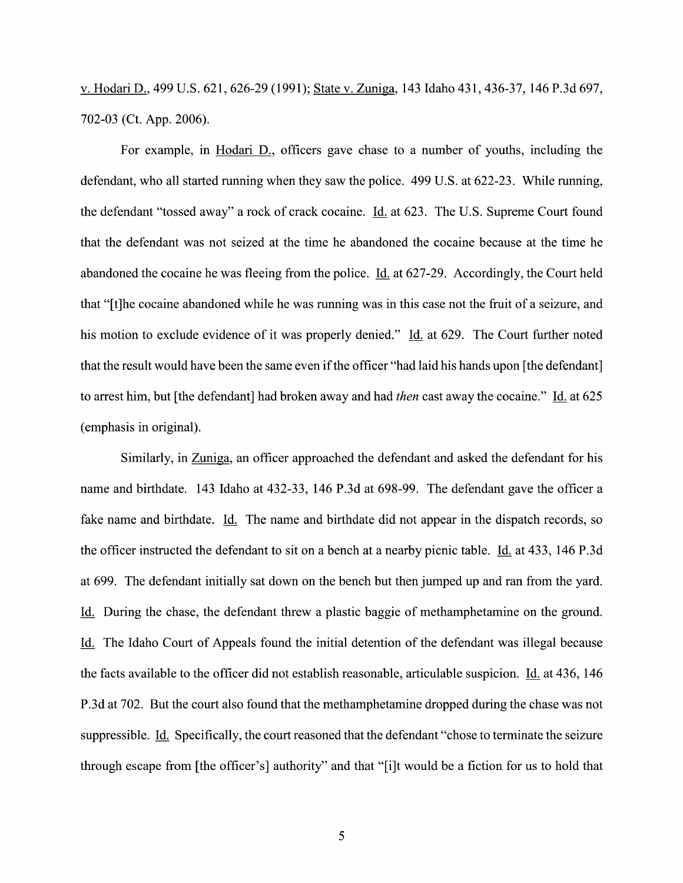V. Hodari D., 499 U.S. 621, 626-29 (1991); State V. Zuniga, 143 Idaho 431, 436-37, 146 P.3d 697, 702-03 (Ct. App. 2006).

For example, in Hodari D., officers gave chase to a number of youths, including the defendant, who all started running when they saw the police. 499 U.S. at 622-23. While running, the defendant "tossed away" a rock of crack cocaine. Id. at 623. The U.S. Supreme Court found that the defendant was not seized at the time he abandoned the cocaine because at the time he abandoned the cocaine he was fleeing from the police. Id. at 627-29. Accordingly, the Court held that "[t]he cocaine abandoned while he was running was in this case not the fruit of a seizure, and his motion to exclude evidence of it was properly denied." Id. at 629. The Court further noted that the result would have been the same even ifthe officer "had laid his hands upon [the defendant] to arrest him, but [the defendant] had broken away and had *then* cast away the cocaine." Id. at 625 (emphasis in original).

Similarly, in Zuniga, an officer approached the defendant and asked the defendant for his name and birthdate. <sup>143</sup> Idaho at 432-33, 146 P.3d at 698-99. The defendant gave the officer fake name and birthdate. Id. The name and birthdate did not appear in the dispatch records, so the officer instructed the defendant to sit on a bench at a nearby picnic table. Id. at 433, 146 P.3d at 699. The defendant initially sat down 0n the bench but then jumped up and ran from the yard. Id. During the chase, the defendant threw a plastic baggie of methamphetamine on the ground. Id. The Idaho Court of Appeals found the initial detention of the defendant was illegal because the facts available to the officer did not establish reasonable, articulable suspicion. Id. at  $436$ , 146 P.3d at 702. But the court also found that the methamphetamine dropped during the chase was not suppressible. Id. Specifically, the court reasoned that the defendant "chose to terminate the seizure through escape from [the officer's] authority" and that "[i]t would be a fiction for us to hold that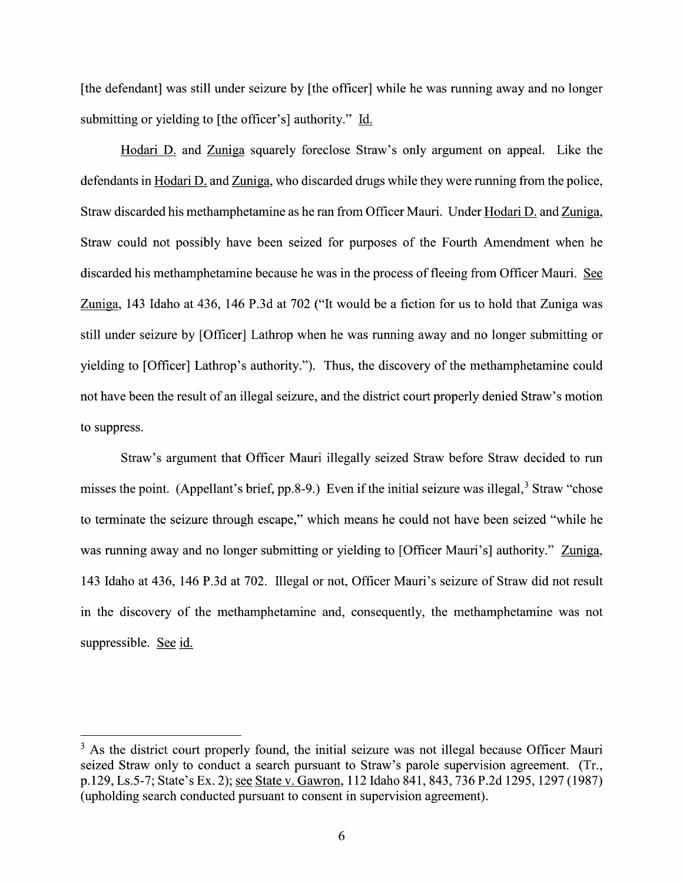[the defendant] was still under seizure by [the officer] while he was running away and no longer submitting or yielding to [the officer's] authority." Id.

Hodari D. and Zuniga squarely foreclose Straw's only argument on appeal. Like the defendants in Hodari D. and Zuniga, who discarded drugs while they were running from the police, Straw discarded his methamphetamine as he ran from Officer Mauri. Under Hodari D. and Zuniga, Straw could not possibly have been seized for purposes of the Fourth Amendment when he discarded his methamphetamine because he was in the process of fleeing from Officer Mauri. See<br>Zuniga, 143 Idaho at 436, 146 P.3d at 702 ("It would be a fiction for us to hold that Zuniga was still under seizure by [Officer] Lathrop When he was running away and n0 longer submitting or yielding to [Officer] Lathrop's authority."). Thus, the discovery of the methamphetamine could not have been the result of an illegal seizure, and the district court properly denied Straw's motion to suppress.

Straw's argument that Officer Mauri illegally seized Straw before Straw decided to run misses the point. (Appellant's brief, pp.8-9.) Even if the initial seizure was illegal,  $3$  Straw "chose" to terminate the seizure through escape," Which means he could not have been seized "While he was running away and no longer submitting or yielding to [Officer Mauri's] authority." Zuniga, 143 Idaho at 436, 146 P.3d at 702. Illegal or not, Officer Mauri's seizure of Straw did not result in the discovery 0f the methamphetamine and, consequently, the methamphetamine was not suppressible. See id.

 $3$  As the district court properly found, the initial seizure was not illegal because Officer Mauri seized Straw only to conduct a search pursuant to Straw's parole supervision agreement. (Tr., p.129, Ls.5-7; State's EX. 2); State V. Gawron, 112 Idaho 841, 843, 736 P.2d 1295, 1297 (1987) (upholding search conducted pursuant to consent in supervision agreement).